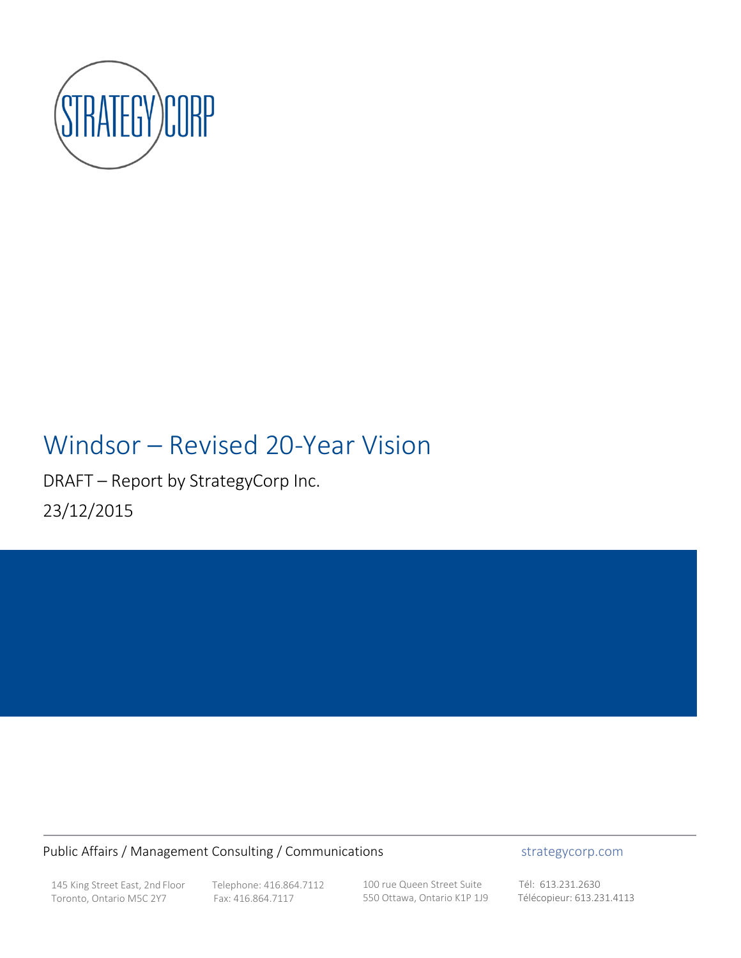

# Windsor – Revised 20-Year Vision

DRAFT – Report by StrategyCorp Inc. 23/12/2015

### Public Affairs / Management Consulting / Communications **strategycorp.com**

145 King Street East, 2nd Floor Telephone: 416.864.7112<br>Toronto, Ontario M5C 2Y7 Fax: 416.864.7117 Toronto, Ontario M5C 2Y7

100 rue Queen Street Suite Tél: 613.231.2630 550 Ottawa, Ontario K1P 1J9 Télécopieur: 613.231.4113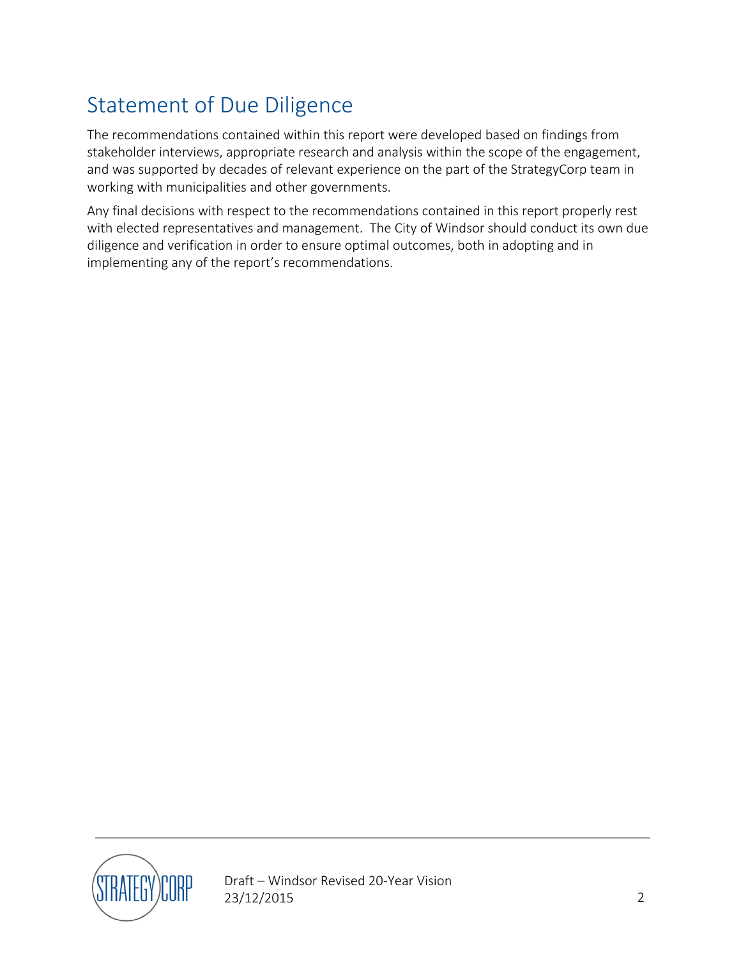## <span id="page-1-0"></span>Statement of Due Diligence

The recommendations contained within this report were developed based on findings from stakeholder interviews, appropriate research and analysis within the scope of the engagement, and was supported by decades of relevant experience on the part of the StrategyCorp team in working with municipalities and other governments.

Any final decisions with respect to the recommendations contained in this report properly rest with elected representatives and management. The City of Windsor should conduct its own due diligence and verification in order to ensure optimal outcomes, both in adopting and in implementing any of the report's recommendations.

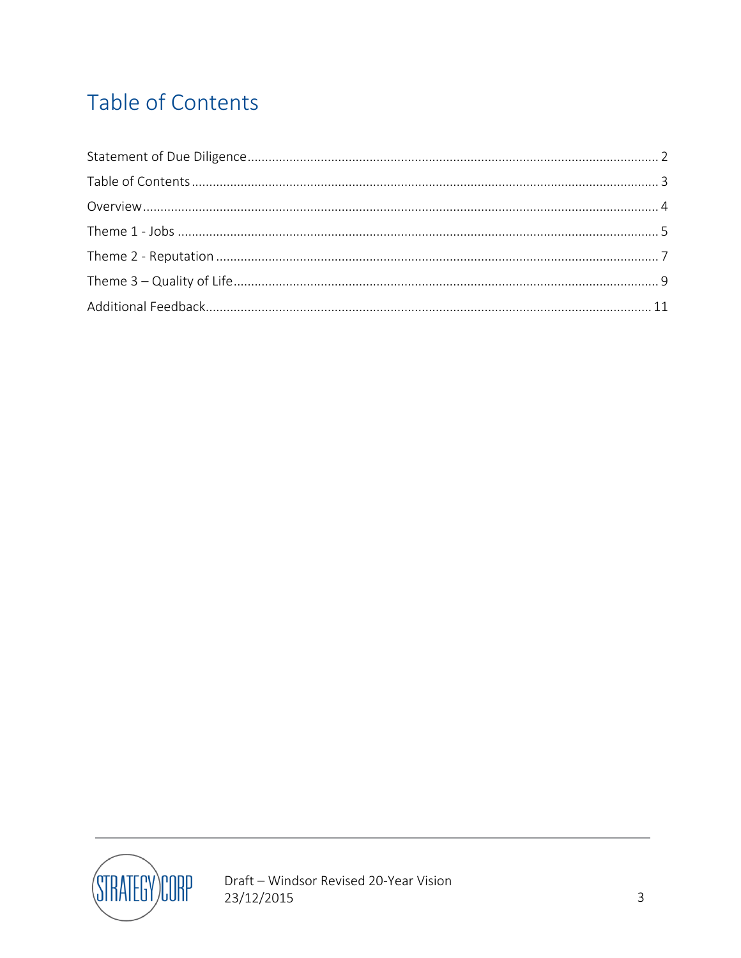# <span id="page-2-0"></span>Table of Contents

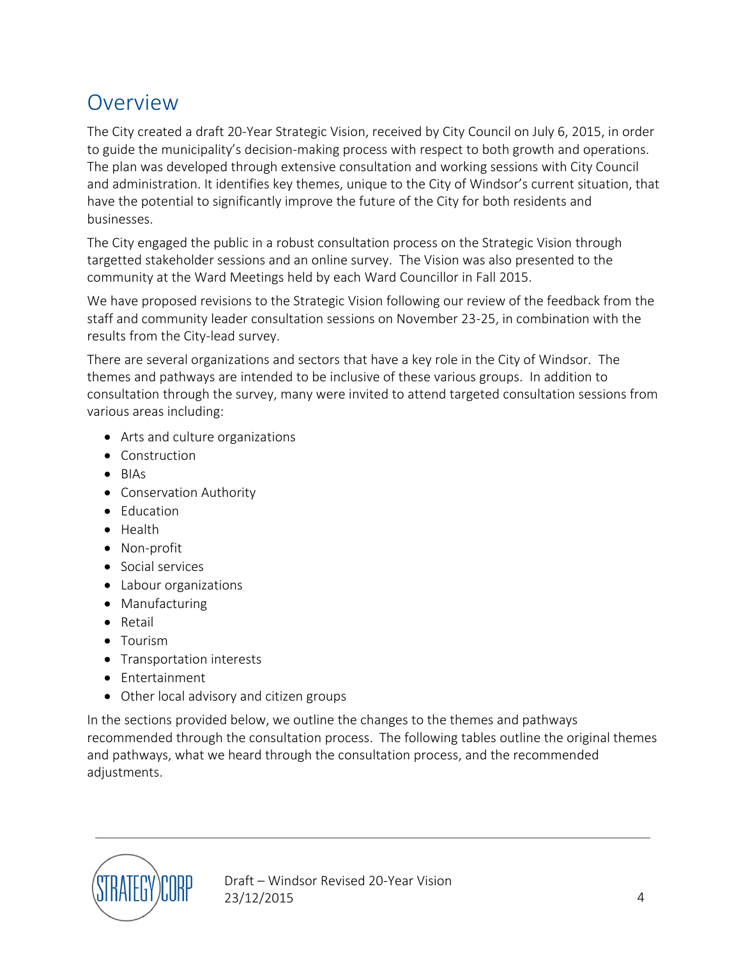### <span id="page-3-0"></span>**Overview**

The City created a draft 20-Year Strategic Vision, received by City Council on July 6, 2015, in order to guide the municipality's decision-making process with respect to both growth and operations. The plan was developed through extensive consultation and working sessions with City Council and administration. It identifies key themes, unique to the City of Windsor's current situation, that have the potential to significantly improve the future of the City for both residents and businesses.

The City engaged the public in a robust consultation process on the Strategic Vision through targetted stakeholder sessions and an online survey. The Vision was also presented to the community at the Ward Meetings held by each Ward Councillor in Fall 2015.

We have proposed revisions to the Strategic Vision following our review of the feedback from the staff and community leader consultation sessions on November 23-25, in combination with the results from the City-lead survey.

There are several organizations and sectors that have a key role in the City of Windsor. The themes and pathways are intended to be inclusive of these various groups. In addition to consultation through the survey, many were invited to attend targeted consultation sessions from various areas including:

- Arts and culture organizations
- Construction
- BIAs
- Conservation Authority
- Education
- Health
- Non-profit
- Social services
- Labour organizations
- Manufacturing
- Retail
- Tourism
- Transportation interests
- Entertainment
- Other local advisory and citizen groups

In the sections provided below, we outline the changes to the themes and pathways recommended through the consultation process. The following tables outline the original themes and pathways, what we heard through the consultation process, and the recommended adjustments.



Draft – Windsor Revised 20-Year Vision 23/12/2015 4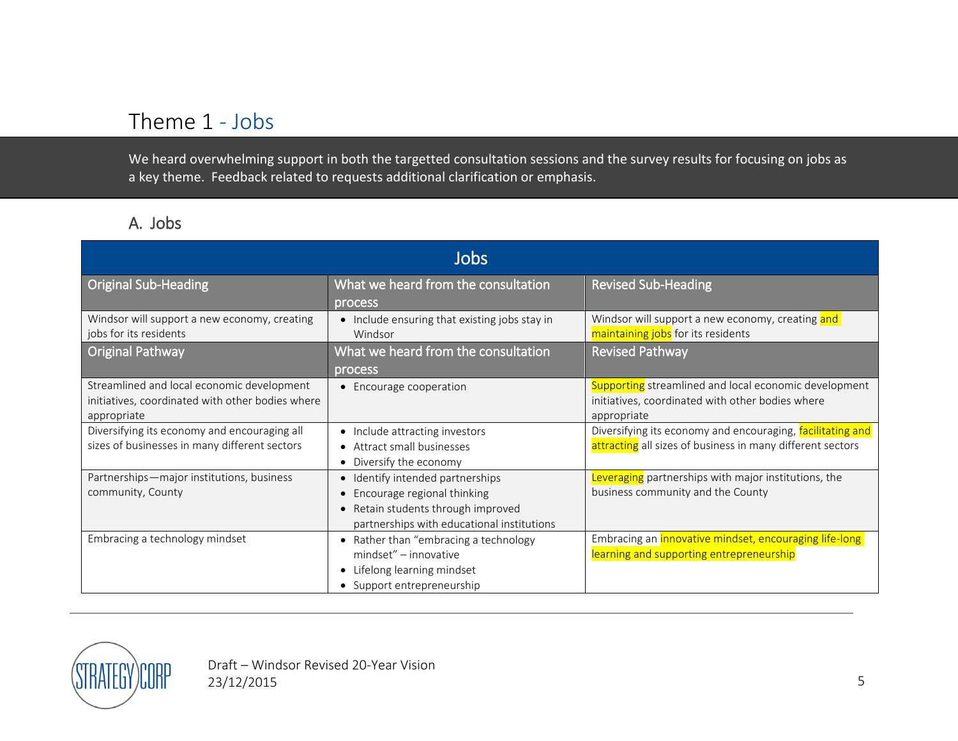### Theme 1 - Jobs

We heard overwhelming support in both the targetted consultation sessions and the survey results for focusing on jobs as a key theme. Feedback related to requests additional clarification or emphasis.

### A. Jobs

<span id="page-4-0"></span>

| Jobs                                                                                                          |                                                                                                                                                   |                                                                                                                          |
|---------------------------------------------------------------------------------------------------------------|---------------------------------------------------------------------------------------------------------------------------------------------------|--------------------------------------------------------------------------------------------------------------------------|
| <b>Original Sub-Heading</b>                                                                                   | What we heard from the consultation<br>process                                                                                                    | <b>Revised Sub-Heading</b>                                                                                               |
| Windsor will support a new economy, creating<br>jobs for its residents                                        | • Include ensuring that existing jobs stay in<br>Windsor                                                                                          | Windsor will support a new economy, creating and<br>maintaining jobs for its residents                                   |
| <b>Original Pathway</b>                                                                                       | What we heard from the consultation<br>process                                                                                                    | <b>Revised Pathway</b>                                                                                                   |
| Streamlined and local economic development<br>initiatives, coordinated with other bodies where<br>appropriate | • Encourage cooperation                                                                                                                           | Supporting streamlined and local economic development<br>initiatives, coordinated with other bodies where<br>appropriate |
| Diversifying its economy and encouraging all<br>sizes of businesses in many different sectors                 | • Include attracting investors<br>• Attract small businesses<br>• Diversify the economy                                                           | Diversifying its economy and encouraging, facilitating and<br>attracting all sizes of business in many different sectors |
| Partnerships-major institutions, business<br>community, County                                                | • Identify intended partnerships<br>Encourage regional thinking<br>Retain students through improved<br>partnerships with educational institutions | Leveraging partnerships with major institutions, the<br>business community and the County                                |
| Embracing a technology mindset                                                                                | • Rather than "embracing a technology<br>mindset" - innovative<br>Lifelong learning mindset<br>• Support entrepreneurship                         | Embracing an <i>innovative mindset</i> , encouraging life-long<br>learning and supporting entrepreneurship               |

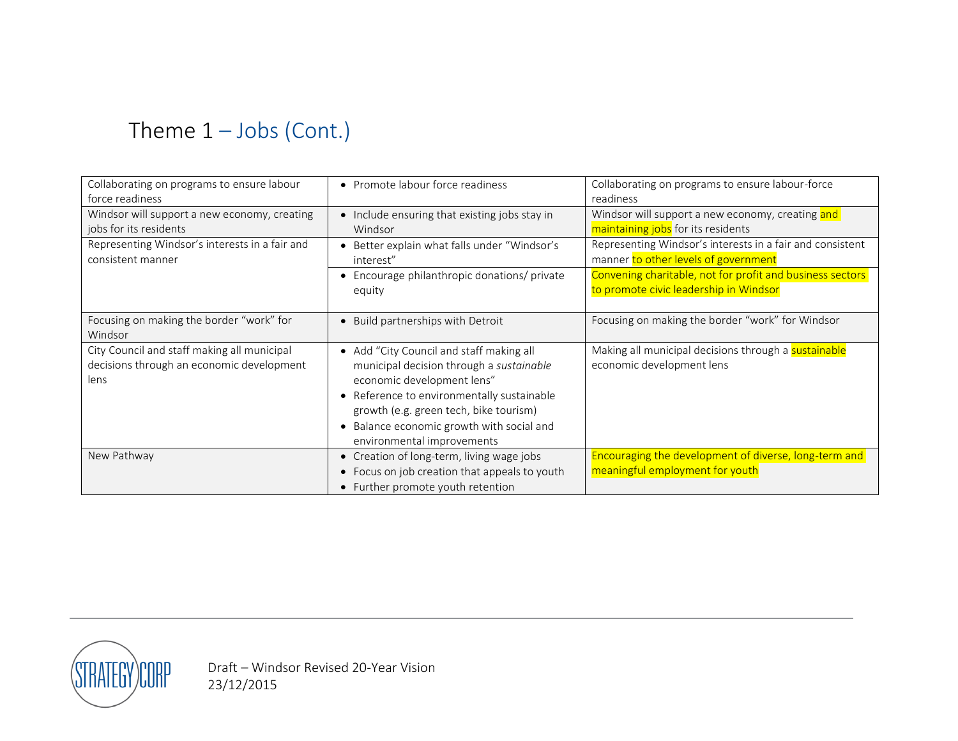# Theme 1 – Jobs (Cont.)

| Collaborating on programs to ensure labour     | • Promote labour force readiness              | Collaborating on programs to ensure labour-force          |
|------------------------------------------------|-----------------------------------------------|-----------------------------------------------------------|
| force readiness                                |                                               | readiness                                                 |
| Windsor will support a new economy, creating   | • Include ensuring that existing jobs stay in | Windsor will support a new economy, creating and          |
| jobs for its residents                         | Windsor                                       | maintaining jobs for its residents                        |
| Representing Windsor's interests in a fair and | Better explain what falls under "Windsor's    | Representing Windsor's interests in a fair and consistent |
| consistent manner                              | interest"                                     | manner to other levels of government                      |
|                                                | • Encourage philanthropic donations/ private  | Convening charitable, not for profit and business sectors |
|                                                | equity                                        | to promote civic leadership in Windsor                    |
|                                                |                                               |                                                           |
| Focusing on making the border "work" for       | • Build partnerships with Detroit             | Focusing on making the border "work" for Windsor          |
| Windsor                                        |                                               |                                                           |
| City Council and staff making all municipal    | • Add "City Council and staff making all      | Making all municipal decisions through a sustainable      |
| decisions through an economic development      | municipal decision through a sustainable      | economic development lens                                 |
| lens                                           | economic development lens"                    |                                                           |
|                                                | Reference to environmentally sustainable      |                                                           |
|                                                | growth (e.g. green tech, bike tourism)        |                                                           |
|                                                | • Balance economic growth with social and     |                                                           |
|                                                | environmental improvements                    |                                                           |
| New Pathway                                    | • Creation of long-term, living wage jobs     | Encouraging the development of diverse, long-term and     |
|                                                | • Focus on job creation that appeals to youth | meaningful employment for youth                           |
|                                                | • Further promote youth retention             |                                                           |

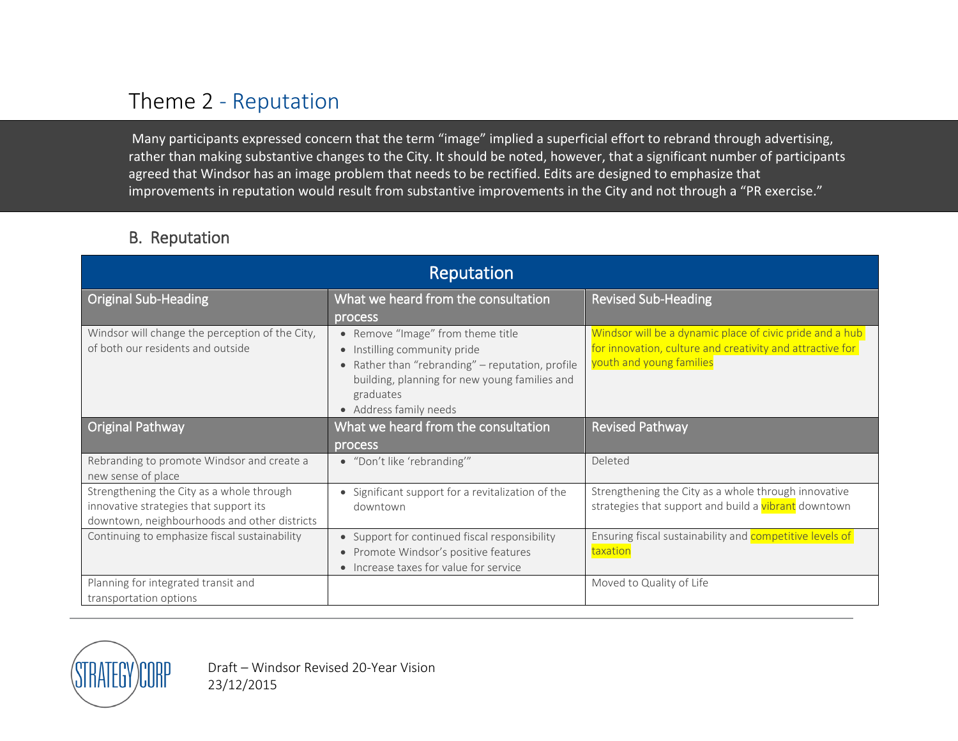### Theme 2 - Reputation

Many participants expressed concern that the term "image" implied a superficial effort to rebrand through advertising, rather than making substantive changes to the City. It should be noted, however, that a significant number of participants agreed that Windsor has an image problem that needs to be rectified. Edits are designed to emphasize that improvements in reputation would result from substantive improvements in the City and not through a "PR exercise."

### B. Reputation

<span id="page-6-0"></span>

| Reputation                                                                                                                          |                                                                                                                                                                                                                          |                                                                                                                                                   |
|-------------------------------------------------------------------------------------------------------------------------------------|--------------------------------------------------------------------------------------------------------------------------------------------------------------------------------------------------------------------------|---------------------------------------------------------------------------------------------------------------------------------------------------|
| <b>Original Sub-Heading</b>                                                                                                         | What we heard from the consultation                                                                                                                                                                                      | <b>Revised Sub-Heading</b>                                                                                                                        |
| Windsor will change the perception of the City,<br>of both our residents and outside                                                | process<br>• Remove "Image" from theme title<br>• Instilling community pride<br>• Rather than "rebranding" - reputation, profile<br>building, planning for new young families and<br>graduates<br>• Address family needs | Windsor will be a dynamic place of civic pride and a hub<br>for innovation, culture and creativity and attractive for<br>youth and young families |
| Original Pathway                                                                                                                    | What we heard from the consultation                                                                                                                                                                                      | <b>Revised Pathway</b>                                                                                                                            |
| Rebranding to promote Windsor and create a<br>new sense of place                                                                    | process<br>• "Don't like 'rebranding'"                                                                                                                                                                                   | Deleted                                                                                                                                           |
| Strengthening the City as a whole through<br>innovative strategies that support its<br>downtown, neighbourhoods and other districts | • Significant support for a revitalization of the<br>downtown                                                                                                                                                            | Strengthening the City as a whole through innovative<br>strategies that support and build a vibrant downtown                                      |
| Continuing to emphasize fiscal sustainability                                                                                       | • Support for continued fiscal responsibility<br>• Promote Windsor's positive features<br>• Increase taxes for value for service                                                                                         | Ensuring fiscal sustainability and <b>competitive levels of</b><br>taxation                                                                       |
| Planning for integrated transit and<br>transportation options                                                                       |                                                                                                                                                                                                                          | Moved to Quality of Life                                                                                                                          |

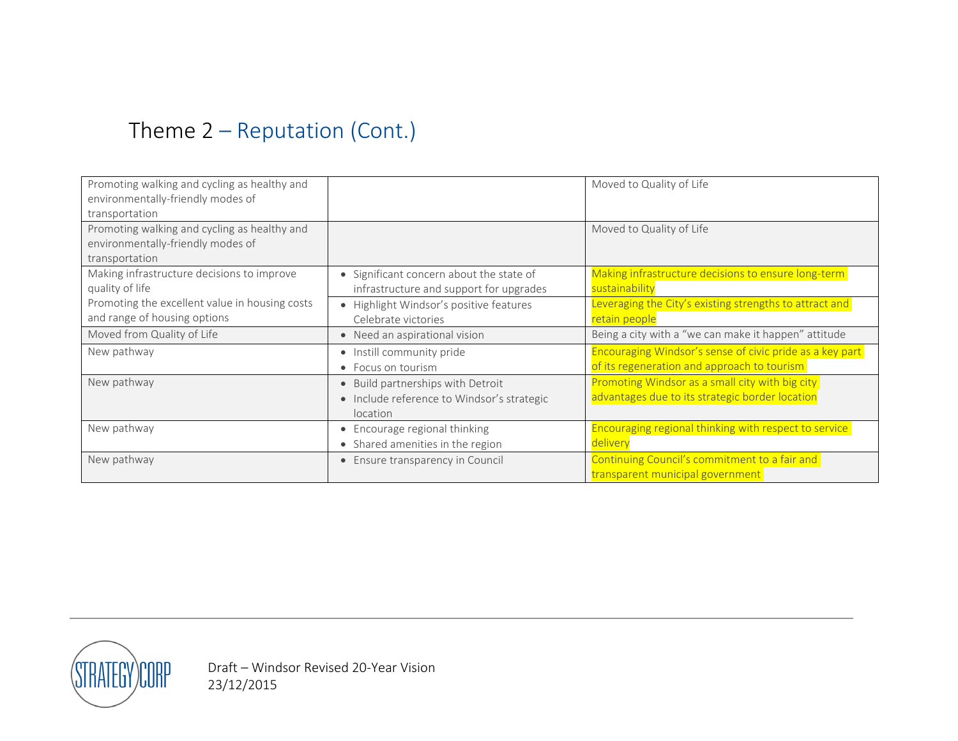# Theme 2 – Reputation (Cont.)

| Promoting walking and cycling as healthy and   |                                            | Moved to Quality of Life                                     |
|------------------------------------------------|--------------------------------------------|--------------------------------------------------------------|
| environmentally-friendly modes of              |                                            |                                                              |
| transportation                                 |                                            |                                                              |
| Promoting walking and cycling as healthy and   |                                            | Moved to Quality of Life                                     |
| environmentally-friendly modes of              |                                            |                                                              |
| transportation                                 |                                            |                                                              |
| Making infrastructure decisions to improve     | • Significant concern about the state of   | Making infrastructure decisions to ensure long-term          |
| quality of life                                | infrastructure and support for upgrades    | sustainability                                               |
| Promoting the excellent value in housing costs | • Highlight Windsor's positive features    | Leveraging the City's existing strengths to attract and      |
| and range of housing options                   | Celebrate victories                        | retain people                                                |
| Moved from Quality of Life                     | • Need an aspirational vision              | Being a city with a "we can make it happen" attitude         |
| New pathway                                    | • Instill community pride                  | Encouraging Windsor's sense of civic pride as a key part     |
|                                                | • Focus on tourism                         | of its regeneration and approach to tourism                  |
| New pathway                                    | • Build partnerships with Detroit          | Promoting Windsor as a small city with big city              |
|                                                | • Include reference to Windsor's strategic | advantages due to its strategic border location              |
|                                                | location                                   |                                                              |
| New pathway                                    | • Encourage regional thinking              | <b>Encouraging regional thinking with respect to service</b> |
|                                                | • Shared amenities in the region           | delivery                                                     |
| New pathway                                    | • Ensure transparency in Council           | Continuing Council's commitment to a fair and                |
|                                                |                                            | transparent municipal government                             |

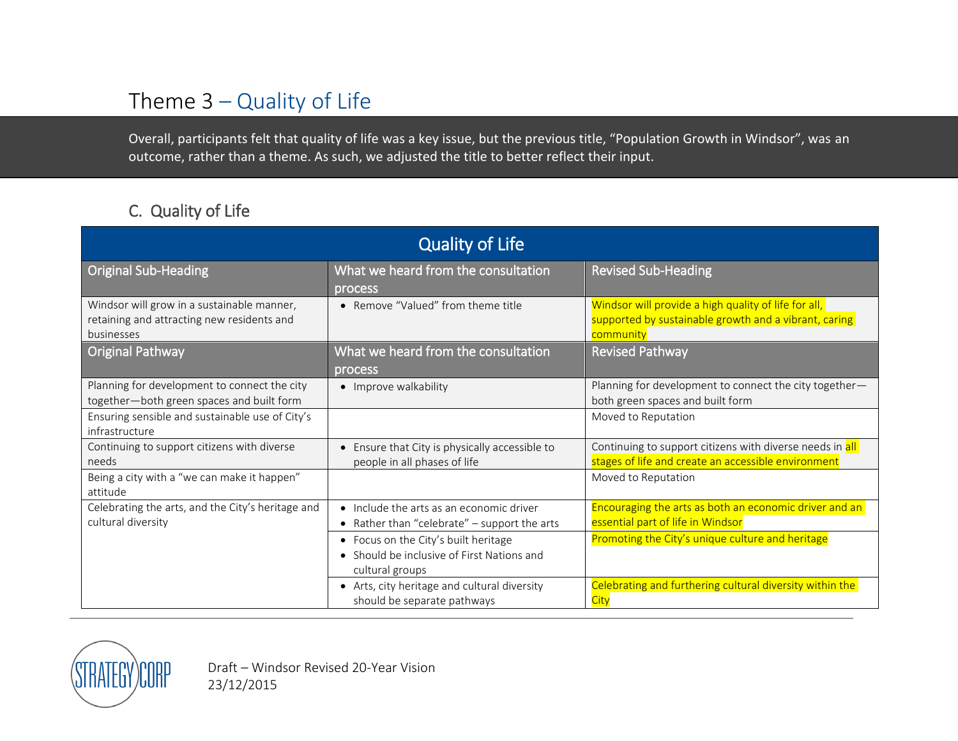### Theme 3 – Quality of Life

Overall, participants felt that quality of life was a key issue, but the previous title, "Population Growth in Windsor", was an outcome, rather than a theme. As such, we adjusted the title to better reflect their input.

### C. Quality of Life

<span id="page-8-0"></span>

| <b>Quality of Life</b>                                                                                 |                                                                                                       |                                                                                                                            |
|--------------------------------------------------------------------------------------------------------|-------------------------------------------------------------------------------------------------------|----------------------------------------------------------------------------------------------------------------------------|
| <b>Original Sub-Heading</b>                                                                            | What we heard from the consultation<br>process                                                        | <b>Revised Sub-Heading</b>                                                                                                 |
| Windsor will grow in a sustainable manner,<br>retaining and attracting new residents and<br>businesses | • Remove "Valued" from theme title                                                                    | Windsor will provide a high quality of life for all,<br>supported by sustainable growth and a vibrant, caring<br>community |
| <b>Original Pathway</b>                                                                                | What we heard from the consultation<br>process                                                        | <b>Revised Pathway</b>                                                                                                     |
| Planning for development to connect the city<br>together-both green spaces and built form              | • Improve walkability                                                                                 | Planning for development to connect the city together-<br>both green spaces and built form                                 |
| Ensuring sensible and sustainable use of City's<br>infrastructure                                      |                                                                                                       | Moved to Reputation                                                                                                        |
| Continuing to support citizens with diverse<br>needs                                                   | • Ensure that City is physically accessible to<br>people in all phases of life                        | Continuing to support citizens with diverse needs in all<br>stages of life and create an accessible environment            |
| Being a city with a "we can make it happen"<br>attitude                                                |                                                                                                       | Moved to Reputation                                                                                                        |
| Celebrating the arts, and the City's heritage and<br>cultural diversity                                | • Include the arts as an economic driver<br>• Rather than "celebrate" - support the arts              | Encouraging the arts as both an economic driver and an<br>essential part of life in Windsor                                |
|                                                                                                        | • Focus on the City's built heritage<br>• Should be inclusive of First Nations and<br>cultural groups | Promoting the City's unique culture and heritage                                                                           |
|                                                                                                        | • Arts, city heritage and cultural diversity<br>should be separate pathways                           | Celebrating and furthering cultural diversity within the<br>City                                                           |

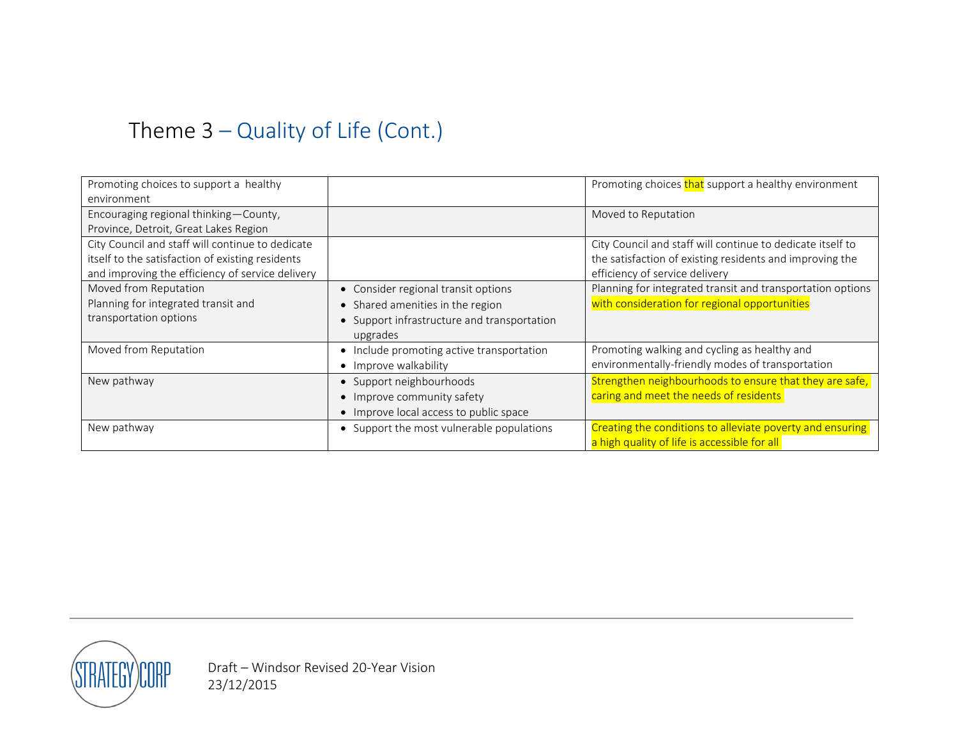# Theme 3 – Quality of Life (Cont.)

| Promoting choices to support a healthy           |                                             | Promoting choices that support a healthy environment       |
|--------------------------------------------------|---------------------------------------------|------------------------------------------------------------|
| environment                                      |                                             |                                                            |
| Encouraging regional thinking - County,          |                                             | Moved to Reputation                                        |
| Province, Detroit, Great Lakes Region            |                                             |                                                            |
| City Council and staff will continue to dedicate |                                             | City Council and staff will continue to dedicate itself to |
| itself to the satisfaction of existing residents |                                             | the satisfaction of existing residents and improving the   |
| and improving the efficiency of service delivery |                                             | efficiency of service delivery                             |
| Moved from Reputation                            | • Consider regional transit options         | Planning for integrated transit and transportation options |
| Planning for integrated transit and              | • Shared amenities in the region            | with consideration for regional opportunities              |
| transportation options                           | • Support infrastructure and transportation |                                                            |
|                                                  | upgrades                                    |                                                            |
| Moved from Reputation                            | • Include promoting active transportation   | Promoting walking and cycling as healthy and               |
|                                                  | • Improve walkability                       | environmentally-friendly modes of transportation           |
| New pathway                                      | • Support neighbourhoods                    | Strengthen neighbourhoods to ensure that they are safe,    |
|                                                  | • Improve community safety                  | caring and meet the needs of residents                     |
|                                                  | • Improve local access to public space      |                                                            |
| New pathway                                      | • Support the most vulnerable populations   | Creating the conditions to alleviate poverty and ensuring  |
|                                                  |                                             | a high quality of life is accessible for all               |